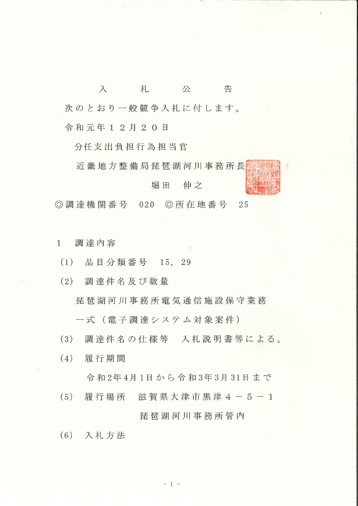告  $\lambda$ 札 公 次のとおり一般競争入札に付します。 令和元年12月20日

分任支出負担行為担当官

近畿地方整備局琵琶湖河川事務所長

## 伸之 堀田

◎ 調達機関番号 020 ◎所在地番号 25

- 調達内容  $\mathbf{1}$
- 品目分類番号 15,  $(1)$ 29
- (2) 調達件名及び数量

琵琶湖河川事務所電気通信施設保守業務

一式 (電子調達システム対象案件)

- $(3)$ 調達件名の仕様等 入札説明書等による。
- 履行期間  $(4)$

令和2年4月1日から令和3年3月31日まで

履行場所 滋賀県大津市黒津4-5-1  $(5)$ 

## 琵琶湖河川事務所管内

(6) 入札方法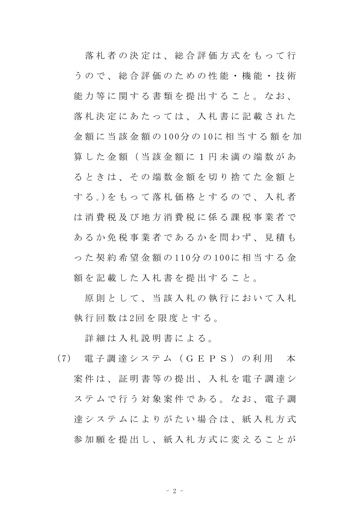落 札 者 の 決 定 は 、 総 合 評 価 方 式 を も っ て 行 う の で 、 総 合 評 価 の た め の 性 能 ・ 機 能 ・ 技 術 能力等に関する書類を提出すること。なお、 落 札 決 定 に あ た っ て は 、 入 札 書 に 記 載 さ れ た 金 額 に 当 該 金 額 の 100分 の 10に 相 当 す る 額 を 加 算 し た 金 額 ( 当 該 金 額 に 1 円 未 満 の 端 数 が あ る と き は 、 そ の 端 数 金 額 を 切 り 捨 て た 金 額 と する。)をもって落札価格とするので、入札者 は 消 費 税 及 び 地 方 消 費 税 に 係 る 課 税 事 業 者 で あ る か 免 税 事 業 者 で あ る か を 問 わ ず 、 見 積 も っ た 契 約 希 望 金 額 の 110分 の 100に 相 当 す る 金 額を記載した入札書を提出すること。

原則 と し て 、 当 該 入 札 の 執 行 に お い て 入 札 執 行 回 数 は 2回 を 限 度 と す る 。

詳 細 は 入 札 説 明 書 に よ る 。

(7) 電 子 調 達 シ ス テ ム ( G E P S ) の 利 用 本 案 件 は 、 証 明 書 等 の 提 出 、 入 札 を 電 子 調 達 シ ステムで行う対象案件である。なお、電子調 達システムによりがたい場合は、紙入札方式 参加願を提出し、紙入札方式に変えることが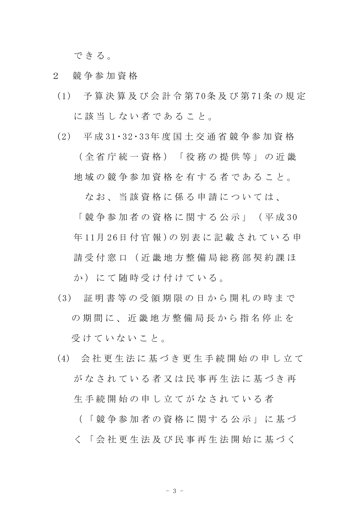できる。

- 2 競 争 参 加 資 格
- (1) 予 算 決 算 及 び 会 計 令 第 70条 及 び 第 71条 の 規 定 に該当しない者であること。
- (2) 平 成 31・32・33年 度 国 土 交 通 省 競 争 参 加 資 格

( 全 省 庁 統 一 資 格 ) 「 役 務 の 提 供 等 」 の 近 畿 地 域 の 競 争 参 加 資 格 を 有 す る 者 で あ る こ と 。

なお、当該資格に係る申請については、

「 競 争 参 加 者 の 資 格 に 関 す る 公 示 」 ( 平 成 30 年 11月 26日 付 官 報 )の 別 表 に 記 載 さ れ て い る 申 請 受 付 窓 口 ( 近 畿 地 方 整 備 局 総 務 部 契 約 課 ほ か)にて随時受け付けている。

- (3) 証 明 書 等 の 受 領 期 限 の 日 か ら 開 札 の 時 ま で の 期 間 に 、 近 畿 地 方 整 備 局 長 か ら 指 名 停 止 を 受けていないこと。
- (4) 会 社 更 生 法 に 基 づ き 更 生 手 続 開 始 の 申 し 立 て がなされている者又は民事再生法に基づき再 生 手 続 開 始 の 申 し 立 て が な さ れ て い る 者 ( 「 競 争 参 加 者 の 資 格 に 関 す る 公 示 」 に 基 づ
	- く 「 会 社 更 生 法 及 び 民 事 再 生 法 開 始 に 基 づ く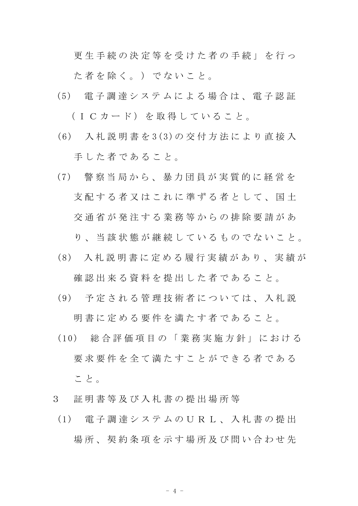更 生 手 続 の 決 定 等 を 受 け た 者 の 手 続 」 を 行 っ

た者を除く。) でないこと。

- (5) 電 子 調 達 シ ス テ ム に よ る 場 合 は 、 電 子 認 証 (ICカード)を取得していること。
- (6) 入 札 説 明 書 を 3(3)の 交 付 方 法 に よ り 直 接 入 手した者であること。
- (7) 警 察 当 局 か ら 、 暴 力 団 員 が 実 質 的 に 経 営 を 支 配 す る 者 又 は こ れ に 準 ず る 者 と し て 、 国 十 交 通 省 が 発 注 す る 業 務 等 か ら の 排 除 要 請 が あ

り、当該状態が継続しているものでないこと。

(8) 入 札 説 明 書 に 定 め る 履 行 実 績 が あ り 、 実 績 が

確認出来る資料を提出した者であること。

- (9) 予 定 さ れ る 管 理 技 術 者 に つ い て は 、 入 札 説 明 書 に 定 め る 要 件 を 満 た す 者 で あ る こ と 。
- (10) 総 合 評 価 項 目 の 「 業 務 実 施 方 針 」 に お け る 要 求 要 件 を 全 て 満 た す こ と が で き る 者 で あ る こ と 。
- 3 証 明 書 等 及 び 入 札 書 の 提 出 場 所 等
- (1) 電 子 調 達 シ ス テ ム の U R L 、 入 札 書 の 提 出 場所、契約条項を示す場所及び問い合わせ先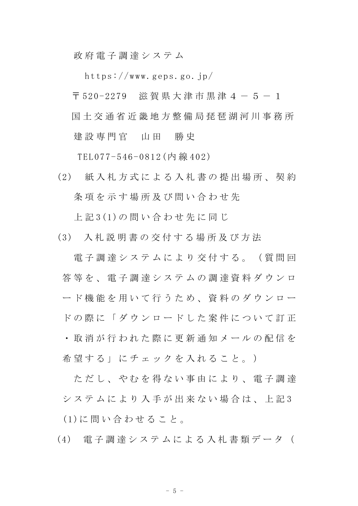政 府 電 子 調 達 シ ス テ ム

https://www.geps.go.jp/

〒 520-2279 滋賀県大津市黒津4-5-1 国 土 交 通 省 近 畿 地 方 整 備 局 琵 琶 湖 河 川 事 務 所

建設 専 門 官 山 田 勝 史

TEL077-546-0812(内 線 402)

(2) 紙 入 札 方 式 に よ る 入 札 書 の 提 出 場 所 、 契 約 条 項 を 示 す 場 所 及 び 問 い 合 わ せ 先

上 記 3(1)の 問 い 合 わ せ 先 に 同 じ

(3) 入 札 説 明 書 の 交 付 す る 場 所 及 び 方 法

電子調達システムにより交付する。(質問回 **答 等 を 、 電 子 調 達 シ ス テ ム の 調 達 資 料 ダ ウ ン ロ** ード機能を用いて行うため、資料のダウンロー ド の 際 に 「 ダ ウ ン ロ ー ド し た 案 件 に つ い て 訂 正

・ 取 消 が 行 わ れ た 際 に 更 新 通 知 メ ー ル の 配 信 を 希望する」にチェックを入れること。)

ただし、やれを得ない事由により、雷子調達 シ ス テ ム に よ り 入 手 が 出 来 な い 場 合 は 、 上 記 3 (1)に 問 い 合 わ せ る こ と 。

(4) 電 子 調 達 シ ス テ ム に よ る 入 札 書 類 デ ー タ (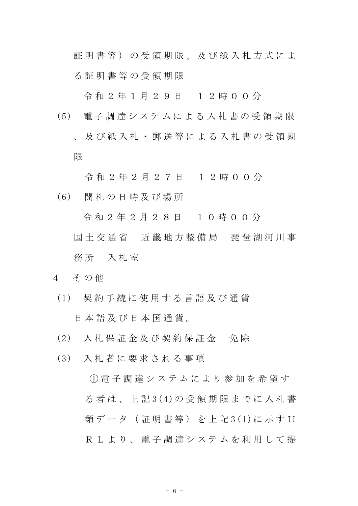証明書等)の受領期限、及び紙入札方式によ る 証 明 書 等 の 受 領 期 限

令 和 2 年 1 月 2 9 日 1 2 時 0 0 分

(5) 電 子 調 達 シ ス テ ム に よ る 入 札 書 の 受 領 期 限 、 及 び 紙 入 札 ・ 郵 送 等 に よ る 入 札 書 の 受 領 期 限

令 和 2 年 2 月 2 7 日 1 2 時 0 0 分

(6) 開 札 の 日 時 及 び 場 所

令 和 2 年 2 月 2 8 日 1 0 時 0 0 分

- 国土 交 通 省 近 畿 地 方 整 備 局 琵 琶 湖 河 川 事 務所 入札室
- 4 その他
- (1) 契 約 手 続 に 使 用 す る 言 語 及 び 通 貨 日 本 語 及 び 日 本 国 通 貨 。
- (2) 入 札 保 証 金 及 び 契 約 保 証 金 免 除
- (3) 入 札 者 に 要 求 さ れ る 事 項

① 電 子 調 達 シ ス テ ム に よ り 参 加 を 希 望 す る 者 は 、 上 記 3(4)の 受 領 期 限 ま で に 入 札 書 類 デ ー タ ( 証 明 書 等 ) を 上 記 3 (1)に 示 す U R L よ り 、 雷 子 調 達 シ ス テ ム を 利 用 し て 提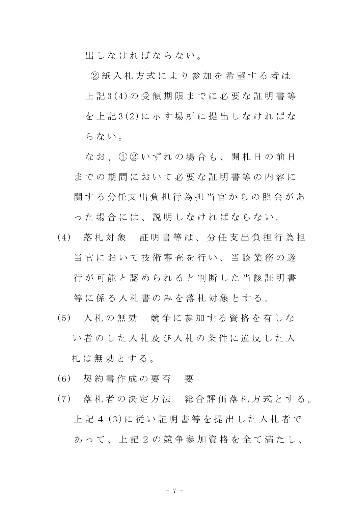出 し な け れ ば な ら な い 。

② 紙 入 札 方 式 に よ り 参 加 を 希 望 す る 者 は 上 記 3(4)の 受 領 期 限 ま で に 必 要 な 証 明 書 等 を 上 記 3(2)に 示 す 場 所 に 提 出 し な け れ ば な らない。

なお、1020いずれの場合も、開札日の前日 までの期間において必要な証明書等の内容に 関する分任支出負担行為担当官からの照会があ っ た 場 合 に は 、 説 明 し な け れ ば な ら な い 。

- (4) 落札対象 証明書等は、分任支出負担行為担 当官において技術審査を行い、当該業務の遂 行 が 可 能 と 認 め ら れ る と 判 断 し た 当 該 証 明 書 等に係る入札書のみを落札対象とする。
- (5) 入 札 の 無 効 競 争 に 参 加 す る 資 格 を 有 し な い 者 の し た 入 札 及 び 入 札 の 条 件 に 違 反 し た 入 札 は 無 効 と す る 。
- (6) 契 約 書 作 成 の 要 否 要
- (7) 落 札 者 の 決 定 方 法 総 合 評 価 落 札 方 式 と す る 。 上 記 4 (3)に 従 い 証 明 書 等 を 提 出 し た 入 札 者 で あって、上記 2 の 競 争 参 加 資 格 を 全 て 満 た し、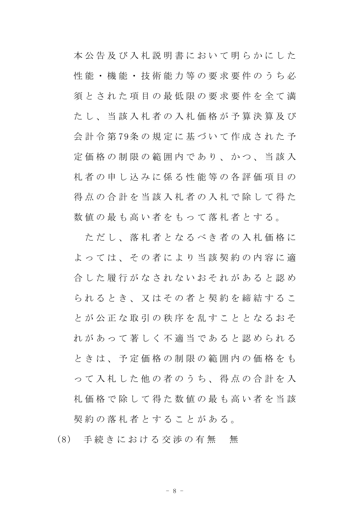本公告及び入札説明書において明らかにした 性 能 ・ 機 能 ・ 技 術 能 力 等 の 要 求 要 件 の う ち 必 須とされた項目の最低限の要求要件を全て満 たし、当該入札者の入札価格が予算決算及び 会 計 令 第 79条 の 規 定 に 基 づ い て 作 成 さ れ た 予 定 価 格 の 制 限 の 範 囲 内 で あ り 、 か つ 、 当 該 入 札 者 の 申 し 込 み に 係 る 性 能 等 の 各 評 価 項 目 の 得点の合計を当該入札者の入札で除して得た 数値の最も高い者をもって落札者とする。

た だ し 、 落 札 者 と な る べ き 者 の 入 札 価 格 に よっては、その者により当該契約の内容に適 合 した 履 行 が な さ れ な い お そ れ が あ る と 認 め られるとき、又はその者と契約を締結するこ と が 公 正 な 取 引 の 秩 序 を 乱 す こ と と な る お そ れ が あ っ て 著 し く 不 適 当 で あ る と 認 め ら れ る と き は 、 予 定 価 格 の 制 限 の 範 囲 内 の 価 格 を も っ て 入 札 し た 他 の 者 の う ち 、 得 点 の 合 計 を 入 札 価 格 で 除 し て 得 た 数 値 の 最 も 高 い 者 を 当 該 契約の落札者とすることがある。

(8) 手続きにおける交渉の有無 無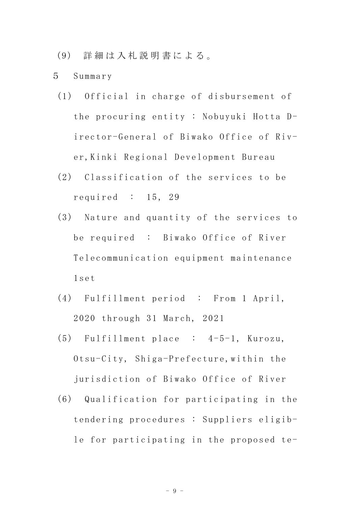- (9) 詳 細 は 入 札 説 明 書 に よ る 。
- 5 Summary
- (1) Official in charge of disbursement of the procuring entity : Nobuyuki Hotta Director-General of Biwako Office of River,Kinki Regional Development Bureau
- (2) Classification of the services to be required : 15, 29
- (3) Nature and quantity of the services to be required : Biwako Office of River Telecommunication equipment maintenance 1set
- (4) Fulfillment period : From 1 April, 2020 through 31 March, 2021
- (5) Fulfillment place : 4-5-1, Kurozu, Otsu-City, Shiga-Prefecture,within the jurisdiction of Biwako Office of River
- (6) Qualification for participating in the tendering procedures : Suppliers eligible for participating in the proposed te-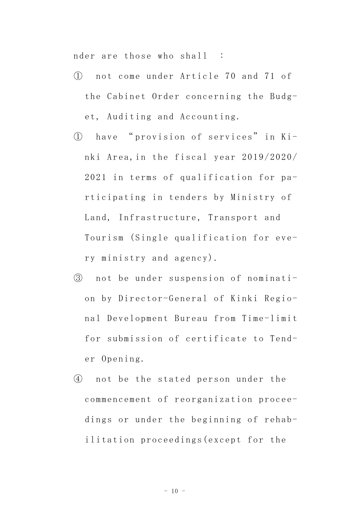nder are those who shall :

- ① not come under Article 70 and 71 of the Cabinet Order concerning the Budget, Auditing and Accounting.
- ① have " provision of services" in Kinki Area,in the fiscal year 2019/2020/ 2021 in terms of qualification for participating in tenders by Ministry of Land, Infrastructure, Transport and Tourism (Single qualification for every ministry and agency).
- ③ not be under suspension of nomination by Director-General of Kinki Regional Development Bureau from Time-limit for submission of certificate to Tender Opening.
- ④ not be the stated person under the commencement of reorganization proceedings or under the beginning of rehabilitation proceedings(except for the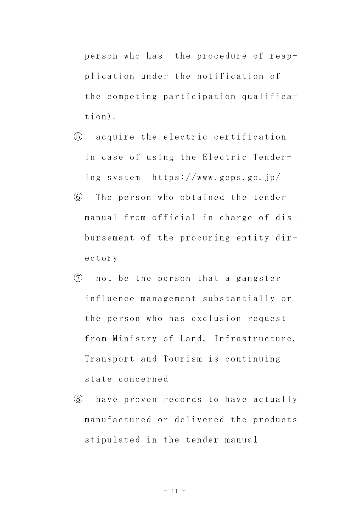person who has the procedure of reapplication under the notification of the competing participation qualification).

- ⑤ acquire the electric certification in case of using the Electric Tendering system https://www.geps.go.jp/
- ⑥ The person who obtained the tender manual from official in charge of disbursement of the procuring entity directory
- ⑦ not be the person that a gangster influence management substantially or the person who has exclusion request from Ministry of Land, Infrastructure, Transport and Tourism is continuing state concerned
- ⑧ have proven records to have actually manufactured or delivered the products stipulated in the tender manual